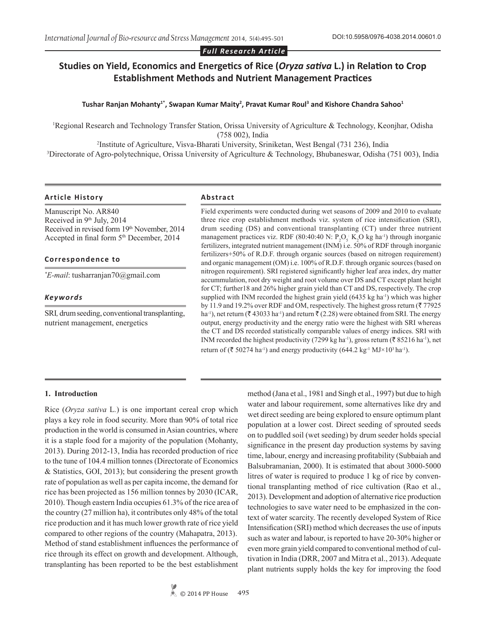#### *Full Research Article*

# **Studies on Yield, Economics and Energetics of Rice (***Oryza sativa* **L.) in Relation to Crop Establishment Methods and Nutrient Management Practices**

#### **Tushar Ranjan Mohanty1\*, Swapan Kumar Maity<sup>2</sup> , Pravat Kumar Roul<sup>3</sup> and Kishore Chandra Sahoo<sup>1</sup>**

Regional Research and Technology Transfer Station, Orissa University of Agriculture & Technology, Keonjhar, Odisha (758 002), India

2 Institute of Agriculture, Visva-Bharati University, Sriniketan, West Bengal (731 236), India 3 Directorate of Agro-polytechnique, Orissa University of Agriculture & Technology, Bhubaneswar, Odisha (751 003), India

#### **Article History Abstract**

Manuscript No. AR840 Received in 9<sup>th</sup> July, 2014 Received in revised form 19th November, 2014 Accepted in final form  $5<sup>th</sup>$  December, 2014

#### **Correspondence to**

*\* E-mail*: tusharranjan70@gmail.com

#### *Keywords*

SRI*,* drum seeding, conventional transplanting, nutrient management, energetics

Field experiments were conducted during wet seasons of 2009 and 2010 to evaluate three rice crop establishment methods viz. system of rice intensification (SRI), drum seeding (DS) and conventional transplanting (CT) under three nutrient management practices viz. RDF (80:40:40 N:  $P_2O_5$  K<sub>2</sub>O kg ha<sup>-1</sup>) through inorganic fertilizers, integrated nutrient management (INM) i.e. 50% of RDF through inorganic fertilizers+50% of R.D.F. through organic sources (based on nitrogen requirement) and organic management (OM) i.e. 100% of R.D.F. through organic sources (based on nitrogen requirement). SRI registered significantly higher leaf area index, dry matter accummulation, root dry weight and root volume over DS and CT except plant height for CT; further18 and 26% higher grain yield than CT and DS, respectively. The crop supplied with INM recorded the highest grain yield (6435 kg ha<sup>-1</sup>) which was higher by 11.9 and 19.2% over RDF and OM, respectively. The highest gross return ( $\bar{z}$  77925 ha<sup>-1</sup>), net return ( $\bar{\tau}$  43033 ha<sup>-1</sup>) and return  $\bar{\tau}$  (2.28) were obtained from SRI. The energy output, energy productivity and the energy ratio were the highest with SRI whereas the CT and DS recorded statistically comparable values of energy indices. SRI with INM recorded the highest productivity (7299 kg ha<sup>-1</sup>), gross return ( $\bar{z}$  85216 ha<sup>-1</sup>), net return of ( $\bar{\tau}$  50274 ha<sup>-1</sup>) and energy productivity (644.2 kg<sup>-1</sup> MJ×10<sup>3</sup> ha<sup>-1</sup>).

#### **1. Introduction**

Rice (*Oryza sativa* L*.*) is one important cereal crop which plays a key role in food security. More than 90% of total rice production in the world is consumed in Asian countries, where it is a staple food for a majority of the population (Mohanty, 2013). During 2012-13, India has recorded production of rice to the tune of 104.4 million tonnes (Directorate of Economics & Statistics, GOI, 2013); but considering the present growth rate of population as well as per capita income, the demand for rice has been projected as 156 million tonnes by 2030 (ICAR, 2010). Though eastern India occupies 61.3% of the rice area of the country (27 million ha), it contributes only 48% of the total rice production and it has much lower growth rate of rice yield compared to other regions of the country (Mahapatra, 2013). Method of stand establishment influences the performance of rice through its effect on growth and development. Although, transplanting has been reported to be the best establishment

method (Jana et al., 1981 and Singh et al., 1997) but due to high water and labour requirement, some alternatives like dry and wet direct seeding are being explored to ensure optimum plant population at a lower cost. Direct seeding of sprouted seeds on to puddled soil (wet seeding) by drum seeder holds special significance in the present day production systems by saving time, labour, energy and increasing profitability (Subbaiah and Balsubramanian, 2000). It is estimated that about 3000-5000 litres of water is required to produce 1 kg of rice by conventional transplanting method of rice cultivation (Rao et al., 2013). Development and adoption of alternative rice production technologies to save water need to be emphasized in the context of water scarcity. The recently developed System of Rice Intensification (SRI) method which decreases the use of inputs such as water and labour, is reported to have 20-30% higher or even more grain yield compared to conventional method of cultivation in India (DRR, 2007 and Mitra et al., 2013). Adequate plant nutrients supply holds the key for improving the food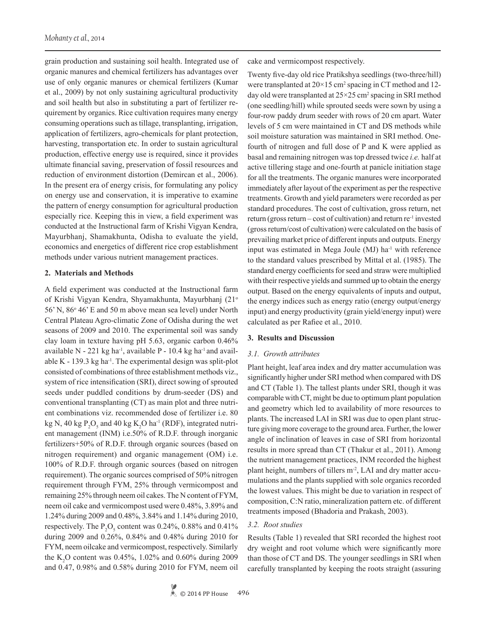grain production and sustaining soil health. Integrated use of organic manures and chemical fertilizers has advantages over use of only organic manures or chemical fertilizers (Kumar et al., 2009) by not only sustaining agricultural productivity and soil health but also in substituting a part of fertilizer requirement by organics. Rice cultivation requires many energy consuming operations such as tillage, transplanting, irrigation, application of fertilizers, agro-chemicals for plant protection, harvesting, transportation etc. In order to sustain agricultural production, effective energy use is required, since it provides ultimate financial saving, preservation of fossil resources and reduction of environment distortion (Demircan et al., 2006). In the present era of energy crisis, for formulating any policy on energy use and conservation, it is imperative to examine the pattern of energy consumption for agricultural production especially rice. Keeping this in view, a field experiment was conducted at the Instructional farm of Krishi Vigyan Kendra, Mayurbhanj, Shamakhunta, Odisha to evaluate the yield, economics and energetics of different rice crop establishment methods under various nutrient management practices.

#### **2. Materials and Methods**

A field experiment was conducted at the Instructional farm of Krishi Vigyan Kendra, Shyamakhunta, Mayurbhanj (21o 56' N, 86° 46' E and 50 m above mean sea level) under North Central Plateau Agro-climatic Zone of Odisha during the wet seasons of 2009 and 2010. The experimental soil was sandy clay loam in texture having pH 5.63, organic carbon 0.46% available  $N - 221$  kg ha<sup>-1</sup>, available P - 10.4 kg ha<sup>-1</sup> and available K - 139.3 kg ha<sup>-1</sup>. The experimental design was split-plot consisted of combinations of three establishment methods viz., system of rice intensification (SRI), direct sowing of sprouted seeds under puddled conditions by drum-seeder (DS) and conventional transplanting (CT) as main plot and three nutrient combinations viz. recommended dose of fertilizer i.e. 80 kg N, 40 kg  $P_2O_5$  and 40 kg  $K_2O$  ha<sup>-1</sup> (RDF), integrated nutrient management (INM) i.e.50% of R.D.F. through inorganic fertilizers+50% of R.D.F. through organic sources (based on nitrogen requirement) and organic management (OM) i.e. 100% of R.D.F. through organic sources (based on nitrogen requirement). The organic sources comprised of 50% nitrogen requirement through FYM, 25% through vermicompost and remaining 25% through neem oil cakes. The N content of FYM, neem oil cake and vermicompost used were 0.48%, 3.89% and 1.24% during 2009 and 0.48%, 3.84% and 1.14% during 2010, respectively. The  $P_2O_5$  content was 0.24%, 0.88% and 0.41% during 2009 and 0.26%, 0.84% and 0.48% during 2010 for FYM, neem oilcake and vermicompost, respectively. Similarly the  $K_2O$  content was 0.45%, 1.02% and 0.60% during 2009 and 0.47, 0.98% and 0.58% during 2010 for FYM, neem oil

cake and vermicompost respectively.

Twenty five-day old rice Pratikshya seedlings (two-three/hill) were transplanted at  $20 \times 15$  cm<sup>2</sup> spacing in CT method and 12day old were transplanted at  $25 \times 25$  cm<sup>2</sup> spacing in SRI method (one seedling/hill) while sprouted seeds were sown by using a four-row paddy drum seeder with rows of 20 cm apart. Water levels of 5 cm were maintained in CT and DS methods while soil moisture saturation was maintained in SRI method. Onefourth of nitrogen and full dose of P and K were applied as basal and remaining nitrogen was top dressed twice *i.e.* half at active tillering stage and one-fourth at panicle initiation stage for all the treatments. The organic manures were incorporated immediately after layout of the experiment as per the respective treatments. Growth and yield parameters were recorded as per standard procedures. The cost of cultivation, gross return, net return (gross return – cost of cultivation) and return  $re^{-1}$  invested (gross return/cost of cultivation) were calculated on the basis of prevailing market price of different inputs and outputs. Energy input was estimated in Mega Joule (MJ) ha-1 with reference to the standard values prescribed by Mittal et al. (1985). The standard energy coefficients for seed and straw were multiplied with their respective yields and summed up to obtain the energy output. Based on the energy equivalents of inputs and output, the energy indices such as energy ratio (energy output/energy input) and energy productivity (grain yield/energy input) were calculated as per Rafiee et al., 2010.

#### **3. Results and Discussion**

#### *3.1. Growth attributes*

Plant height, leaf area index and dry matter accumulation was significantly higher under SRI method when compared with DS and CT (Table 1). The tallest plants under SRI, though it was comparable with CT, might be due to optimum plant population and geometry which led to availability of more resources to plants. The increased LAI in SRI was due to open plant structure giving more coverage to the ground area. Further, the lower angle of inclination of leaves in case of SRI from horizontal results in more spread than CT (Thakur et al., 2011). Among the nutrient management practices, INM recorded the highest plant height, numbers of tillers m<sup>-2</sup>, LAI and dry matter accumulations and the plants supplied with sole organics recorded the lowest values. This might be due to variation in respect of composition, C:N ratio, mineralization pattern etc. of different treatments imposed (Bhadoria and Prakash, 2003).

#### *3.2. Root studies*

Results (Table 1) revealed that SRI recorded the highest root dry weight and root volume which were significantly more than those of CT and DS. The younger seedlings in SRI when carefully transplanted by keeping the roots straight (assuring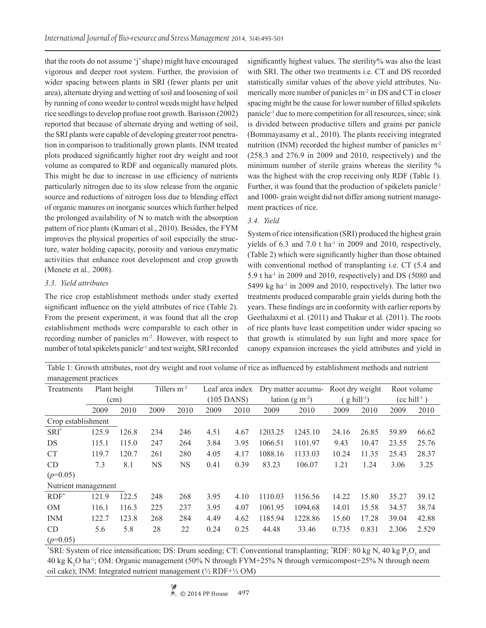that the roots do not assume 'j' shape) might have encouraged vigorous and deeper root system. Further, the provision of wider spacing between plants in SRI (fewer plants per unit area), alternate drying and wetting of soil and loosening of soil by running of cono weeder to control weeds might have helped rice seedlings to develop profuse root growth. Barisson (2002) reported that because of alternate drying and wetting of soil, the SRI plants were capable of developing greater root penetration in comparison to traditionally grown plants. INM treated plots produced significantly higher root dry weight and root volume as compared to RDF and organically manured plots. This might be due to increase in use efficiency of nutrients particularly nitrogen due to its slow release from the organic source and reductions of nitrogen loss due to blending effect of organic manures on inorganic sources which further helped the prolonged availability of N to match with the absorption pattern of rice plants (Kumari et al., 2010). Besides, the FYM improves the physical properties of soil especially the structure, water holding capacity, porosity and various enzymatic activities that enhance root development and crop growth (Menete et al*.,* 2008).

# *3.3. Yield attributes*

The rice crop establishment methods under study exerted significant influence on the yield attributes of rice (Table 2). From the present experiment, it was found that all the crop establishment methods were comparable to each other in recording number of panicles m<sup>-2</sup>. However, with respect to number of total spikelets panicle<sup>1</sup> and test weight, SRI recorded

significantly highest values. The sterility% was also the least with SRI. The other two treatments i.e*.* CT and DS recorded statistically similar values of the above yield attributes. Numerically more number of panicles m<sup>-2</sup> in DS and CT in closer spacing might be the cause for lower number of filled spikelets panicle-1 due to more competition for all resources, since; sink is divided between productive tillers and grains per panicle (Bommayasamy et al., 2010). The plants receiving integrated nutrition (INM) recorded the highest number of panicles m<sup>-2</sup> (258.3 and 276.9 in 2009 and 2010, respectively) and the minimum number of sterile grains whereas the sterility % was the highest with the crop receiving only RDF (Table 1). Further, it was found that the production of spikelets panicle<sup>-1</sup> and 1000- grain weight did not differ among nutrient management practices of rice.

# *3.4. Yield*

System of rice intensification (SRI) produced the highest grain yields of  $6.3$  and  $7.0$  t ha<sup>-1</sup> in 2009 and 2010, respectively, (Table 2) which were significantly higher than those obtained with conventional method of transplanting i.e. CT (5.4 and  $5.9$  t ha<sup>-1</sup> in 2009 and 2010, respectively) and DS (5080 and  $5499 \text{ kg}$  ha<sup>-1</sup> in 2009 and 2010, respectively). The latter two treatments produced comparable grain yields during both the years. These findings are in conformity with earlier reports by Geethalaxmi et al*.* (2011) and Thakur et al*.* (2011). The roots of rice plants have least competition under wider spacing so that growth is stimulated by sun light and more space for canopy expansion increases the yield attributes and yield in

Table 1: Growth attributes, root dry weight and root volume of rice as influenced by establishment methods and nutrient management practices

| Treatments          |       | Tillers $m-2$<br>Plant height |      | Leaf area index |      | Dry matter accumu- |                  | Root dry weight |                            | Root volume |                            |       |
|---------------------|-------|-------------------------------|------|-----------------|------|--------------------|------------------|-----------------|----------------------------|-------------|----------------------------|-------|
|                     | (cm)  |                               |      |                 |      | $(105$ DANS)       | lation $(g m-2)$ |                 | $'$ g hill <sup>-1</sup> ) |             | $(cc$ hill <sup>-1</sup> ) |       |
|                     | 2009  | 2010                          | 2009 | 2010            | 2009 | 2010               | 2009             | 2010            | 2009                       | 2010        | 2009                       | 2010  |
| Crop establishment  |       |                               |      |                 |      |                    |                  |                 |                            |             |                            |       |
| $SRI^*$             | 125.9 | 126.8                         | 234  | 246             | 4.51 | 4.67               | 1203.25          | 1245.10         | 24.16                      | 26.85       | 59.89                      | 66.62 |
| DS                  | 115.1 | 115.0                         | 247  | 264             | 3.84 | 3.95               | 1066.51          | 1101.97         | 9.43                       | 10.47       | 23.55                      | 25.76 |
| <b>CT</b>           | 119.7 | 120.7                         | 261  | 280             | 4.05 | 4.17               | 1088.16          | 1133.03         | 10.24                      | 11.35       | 25.43                      | 28.37 |
| <b>CD</b>           | 7.3   | 8.1                           | NS   | <b>NS</b>       | 0.41 | 0.39               | 83.23            | 106.07          | 1.21                       | 1.24        | 3.06                       | 3.25  |
| $(p=0.05)$          |       |                               |      |                 |      |                    |                  |                 |                            |             |                            |       |
| Nutrient management |       |                               |      |                 |      |                    |                  |                 |                            |             |                            |       |
| $RDF^*$             | 121.9 | 122.5                         | 248  | 268             | 3.95 | 4.10               | 1110.03          | 1156.56         | 14.22                      | 15.80       | 35.27                      | 39.12 |
| <b>OM</b>           | 116.1 | 116.3                         | 225  | 237             | 3.95 | 4.07               | 1061.95          | 1094.68         | 14.01                      | 15.58       | 34.57                      | 38.74 |
| <b>INM</b>          | 122.7 | 123.8                         | 268  | 284             | 4.49 | 4.62               | 1185.94          | 1228.86         | 15.60                      | 17.28       | 39.04                      | 42.88 |
| <b>CD</b>           | 5.6   | 5.8                           | 28   | 22              | 0.24 | 0.25               | 44.48            | 33.46           | 0.735                      | 0.831       | 2.306                      | 2.529 |
| $(p=0.05)$          |       |                               |      |                 |      |                    |                  |                 |                            |             |                            |       |

\*SRI: System of rice intensification; DS: Drum seeding; CT: Conventional transplanting; \*RDF: 80 kg N, 40 kg  $P_2O_5$  and 40 kg  $K_2O$  ha<sup>-1</sup>; OM: Organic management (50% N through FYM+25% N through vermicompost+25% N through neem oil cake); INM: Integrated nutrient management (½ RDF+½ OM)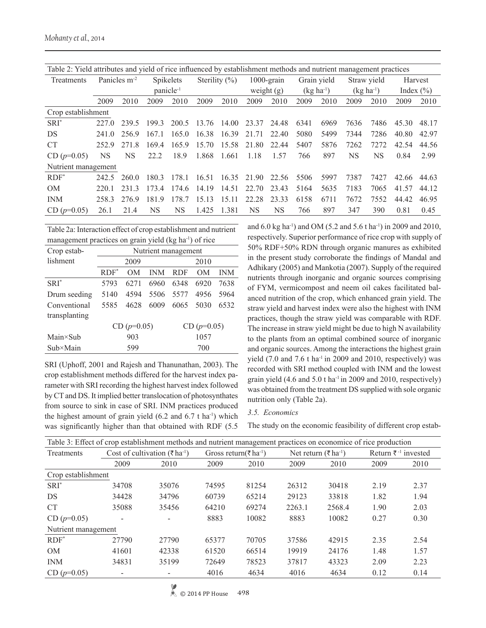| Table 2: Yield attributes and yield of rice influenced by establishment methods and nutrient management practices |                                       |           |                       |       |               |       |             |              |                |      |                |      |               |       |
|-------------------------------------------------------------------------------------------------------------------|---------------------------------------|-----------|-----------------------|-------|---------------|-------|-------------|--------------|----------------|------|----------------|------|---------------|-------|
| Treatments                                                                                                        | Panicles m <sup>-2</sup><br>Spikelets |           | Sterility $(\%)$      |       | $1000$ -grain |       | Grain yield |              | Straw yield    |      | Harvest        |      |               |       |
|                                                                                                                   |                                       |           | panicle <sup>-1</sup> |       |               |       |             | weight $(g)$ | $(kg ha^{-1})$ |      | $(kg ha^{-1})$ |      | Index $(\% )$ |       |
|                                                                                                                   | 2009                                  | 2010      | 2009                  | 2010  | 2009          | 2010  | 2009        | 2010         | 2009           | 2010 | 2009           | 2010 | 2009          | 2010  |
| Crop establishment                                                                                                |                                       |           |                       |       |               |       |             |              |                |      |                |      |               |       |
| $SRI^*$                                                                                                           | 227.0                                 | 239.5     | 199.3                 | 200.5 | 13.76         | 14.00 | 23.37       | 24.48        | 6341           | 6969 | 7636           | 7486 | 45.30         | 48.17 |
| DS                                                                                                                | 241.0                                 | 256.9     | 167.1                 | 165.0 | 16.38         | 16.39 | 21.71       | 22.40        | 5080           | 5499 | 7344           | 7286 | 40.80         | 42.97 |
| <b>CT</b>                                                                                                         | 252.9                                 | 2718      | 169.4                 | 1659  | 15.70         | 15.58 | 21.80       | 22.44        | 5407           | 5876 | 7262           | 7272 | 42.54         | 44.56 |
| $CD (p=0.05)$                                                                                                     | NS                                    | <b>NS</b> | 22.2                  | 18.9  | 1.868         | 1.661 | 1.18        | 1.57         | 766            | 897  | <b>NS</b>      | NS   | 0.84          | 2.99  |
| Nutrient management                                                                                               |                                       |           |                       |       |               |       |             |              |                |      |                |      |               |       |
| $RDF^*$                                                                                                           | 242.5                                 | 260.0     | 180.3                 | 178.1 | 16.51         | 16.35 | 21.90       | 22.56        | 5506           | 5997 | 7387           | 7427 | 42.66         | 44.63 |
| OM                                                                                                                | 220.1                                 | 2313      | 1734                  | 174.6 | 14.19         | 14.51 | 22.70       | 23.43        | 5164           | 5635 | 7183           | 7065 | 41.57         | 44.12 |
| <b>INM</b>                                                                                                        | 258.3                                 | 2769      | 1819                  | 178 7 | 15 13         | 15 11 | 22.28       | 23.33        | 6158           | 6711 | 7672           | 7552 | 44 42         | 46.95 |
| $CD (p=0.05)$                                                                                                     | 26.1                                  | 21.4      | NS                    | NS    | 1.425         | 1.381 | NS          | <b>NS</b>    | 766            | 897  | 347            | 390  | 0.81          | 0.45  |

Table 2a: Interaction effect of crop establishment and nutrient management practices on grain yield (kg ha-1) of rice

| Crop estab-       |         | Nutrient management |            |            |               |            |  |  |  |
|-------------------|---------|---------------------|------------|------------|---------------|------------|--|--|--|
| lishment          |         | 2009                |            |            | 2010          |            |  |  |  |
|                   | $RDF^*$ | OΜ                  | <b>INM</b> | <b>RDF</b> | OΜ            | <b>INM</b> |  |  |  |
| $SRI^*$           | 5793    | 6271                | 6960       | 6348       | 6920          | 7638       |  |  |  |
| Drum seeding      | 5140    | 4594                | 5506       | 5577       | 4956          | 5964       |  |  |  |
| Conventional      | 5585    | 4628                | 6009       | 6065       | 5030          | 6532       |  |  |  |
| transplanting     |         |                     |            |            |               |            |  |  |  |
|                   |         | $CD (p=0.05)$       |            |            | $CD (p=0.05)$ |            |  |  |  |
| $Main \times Sub$ |         | 903                 |            | 1057       |               |            |  |  |  |
| $Sub \times Main$ |         | 599                 |            | 700        |               |            |  |  |  |
|                   |         |                     |            |            |               |            |  |  |  |

SRI (Uphoff, 2001 and Rajesh and Thanunathan, 2003). The crop establishment methods differed for the harvest index parameter with SRI recording the highest harvest index followed by CT and DS. It implied better translocation of photosynthates from source to sink in case of SRI. INM practices produced the highest amount of grain yield  $(6.2 \text{ and } 6.7 \text{ t ha}^{-1})$  which was significantly higher than that obtained with RDF (5.5

and 6.0 kg ha-1) and OM (5.2 and 5.6 t ha-1) in 2009 and 2010, respectively. Superior performance of rice crop with supply of 50% RDF+50% RDN through organic manures as exhibited in the present study corroborate the findings of Mandal and Adhikary (2005) and Mankotia (2007). Supply of the required nutrients through inorganic and organic sources comprising of FYM, vermicompost and neem oil cakes facilitated balanced nutrition of the crop, which enhanced grain yield. The straw yield and harvest index were also the highest with INM practices, though the straw yield was comparable with RDF. The increase in straw yield might be due to high N availability to the plants from an optimal combined source of inorganic and organic sources. Among the interactions the highest grain yield (7.0 and 7.6 t ha<sup>-1</sup> in 2009 and 2010, respectively) was recorded with SRI method coupled with INM and the lowest grain yield (4.6 and 5.0 t ha $^{-1}$  in 2009 and 2010, respectively) was obtained from the treatment DS supplied with sole organic nutrition only (Table 2a).

## *3.5. Economics*

The study on the economic feasibility of different crop estab-

| Table 3: Effect of crop establishment methods and nutrient management practices on economice of rice production |                                                       |                          |       |                                               |        |                                  |                        |      |  |  |  |  |
|-----------------------------------------------------------------------------------------------------------------|-------------------------------------------------------|--------------------------|-------|-----------------------------------------------|--------|----------------------------------|------------------------|------|--|--|--|--|
| Treatments                                                                                                      | Cost of cultivation ( $\bar{\tau}$ ha <sup>-1</sup> ) |                          |       | Gross return( $\bar{\tau}$ ha <sup>-1</sup> ) |        | Net return (₹ ha <sup>-1</sup> ) | Return ₹ $-1$ invested |      |  |  |  |  |
|                                                                                                                 | 2009                                                  | 2010                     | 2009  | 2010                                          | 2009   | 2010                             | 2009                   | 2010 |  |  |  |  |
| Crop establishment                                                                                              |                                                       |                          |       |                                               |        |                                  |                        |      |  |  |  |  |
| $SRI^*$                                                                                                         | 34708                                                 | 35076                    | 74595 | 81254                                         | 26312  | 30418                            | 2.19                   | 2.37 |  |  |  |  |
| DS                                                                                                              | 34428                                                 | 34796                    | 60739 | 65214                                         | 29123  | 33818                            | 1.82                   | 1.94 |  |  |  |  |
| <b>CT</b>                                                                                                       | 35088                                                 | 35456                    | 64210 | 69274                                         | 2263.1 | 2568.4                           | 1.90                   | 2.03 |  |  |  |  |
| $CD (p=0.05)$                                                                                                   | $\overline{\phantom{a}}$                              | $\overline{\phantom{a}}$ | 8883  | 10082                                         | 8883   | 10082                            | 0.27                   | 0.30 |  |  |  |  |
| Nutrient management                                                                                             |                                                       |                          |       |                                               |        |                                  |                        |      |  |  |  |  |
| $RDF^*$                                                                                                         | 27790                                                 | 27790                    | 65377 | 70705                                         | 37586  | 42915                            | 2.35                   | 2.54 |  |  |  |  |
| OM                                                                                                              | 41601                                                 | 42338                    | 61520 | 66514                                         | 19919  | 24176                            | 1.48                   | 1.57 |  |  |  |  |
| <b>INM</b>                                                                                                      | 34831                                                 | 35199                    | 72649 | 78523                                         | 37817  | 43323                            | 2.09                   | 2.23 |  |  |  |  |
| $CD (p=0.05)$                                                                                                   | $\overline{\phantom{a}}$                              |                          | 4016  | 4634                                          | 4016   | 4634                             | 0.12                   | 0.14 |  |  |  |  |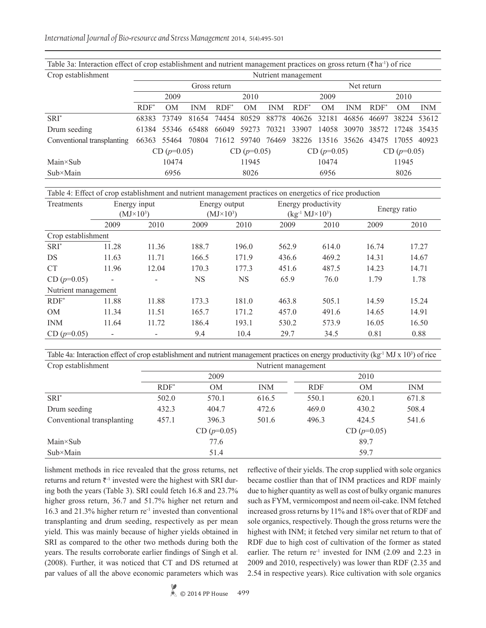Table 3a: Interaction effect of crop establishment and nutrient management practices on gross return ( $\bar{\tau}$ ha<sup>-1</sup>) of rice

| Crop establishment         | Nutrient management |               |            |               |                |               |                                                       |       |               |         |                |             |  |  |
|----------------------------|---------------------|---------------|------------|---------------|----------------|---------------|-------------------------------------------------------|-------|---------------|---------|----------------|-------------|--|--|
|                            | Gross return        |               |            |               |                |               | Net return                                            |       |               |         |                |             |  |  |
|                            |                     | 2009          |            |               | 2010           |               |                                                       | 2009  |               |         | 2010           |             |  |  |
|                            | $RDF^*$             | OM            | <b>INM</b> | $RDF^*$       | 0 <sub>M</sub> | <b>INM</b>    | $RDF^*$                                               | OM    | <b>INM</b>    | $RDF^*$ | 0 <sub>M</sub> | <b>INM</b>  |  |  |
| $SRI^*$                    | 68383               | 73749         | 81654      | 74454         | 80529          | 88778         | 40626 32181                                           |       | 46856         | 46697   |                | 38224 53612 |  |  |
| Drum seeding               |                     | 61384 55346   | 65488      | 66049         | 59273          | 70321         | 33907                                                 |       | 14058 30970   | 38572   | 17248 35435    |             |  |  |
| Conventional transplanting |                     | 66363 55464   | 70804      |               |                |               | 71612 59740 76469 38226 13516 35626 43475 17055 40923 |       |               |         |                |             |  |  |
|                            |                     | $CD (p=0.05)$ |            | $CD (p=0.05)$ |                | $CD (p=0.05)$ |                                                       |       | $CD (p=0.05)$ |         |                |             |  |  |
| 10474<br>$Main \times Sub$ |                     |               | 11945      |               | 10474          |               |                                                       | 11945 |               |         |                |             |  |  |
| $Sub \times Main$          |                     | 6956          |            |               |                | 8026          |                                                       |       | 6956          |         |                | 8026        |  |  |

Table 4: Effect of crop establishment and nutrient management practices on energetics of rice production

| Treatments          | Energy input                 |                          |           | Energy output    |       | Energy productivity        | Energy ratio |       |  |
|---------------------|------------------------------|--------------------------|-----------|------------------|-------|----------------------------|--------------|-------|--|
|                     |                              | $(MJ\times10^3)$         |           | $(MJ\times10^3)$ |       | $(kg^{-1} MJ \times 10^3)$ |              |       |  |
|                     | 2009                         | 2010                     | 2009      | 2010             | 2009  | 2010                       | 2009         | 2010  |  |
| Crop establishment  |                              |                          |           |                  |       |                            |              |       |  |
| $SRI^*$             | 11.28                        | 11.36                    | 188.7     | 196.0            | 562.9 | 614.0                      | 16.74        | 17.27 |  |
| <b>DS</b>           | 11.63                        | 11.71                    | 166.5     | 171.9            | 436.6 | 469.2                      | 14.31        | 14.67 |  |
| <b>CT</b>           | 11.96                        | 12.04                    | 170.3     | 177.3            | 451.6 | 487.5                      | 14.23        | 14.71 |  |
| $CD (p=0.05)$       | $\overline{\phantom{a}}$     | $\overline{\phantom{a}}$ | <b>NS</b> | <b>NS</b>        | 65.9  | 76.0                       | 1.79         | 1.78  |  |
| Nutrient management |                              |                          |           |                  |       |                            |              |       |  |
| $RDF^*$             | 11.88                        | 11.88                    | 173.3     | 181.0            | 463.8 | 505.1                      | 14.59        | 15.24 |  |
| OM                  | 11.34                        | 11.51                    | 165.7     | 171.2            | 457.0 | 491.6                      | 14.65        | 14.91 |  |
| <b>INM</b>          | 11.64                        | 11.72                    | 186.4     | 193.1            | 530.2 | 573.9                      | 16.05        | 16.50 |  |
| $CD (p=0.05)$       | $\qquad \qquad \blacksquare$ |                          | 9.4       | 10.4             | 29.7  | 34.5                       | 0.81         | 0.88  |  |

Table 4a: Interaction effect of crop establishment and nutrient management practices on energy productivity (kg<sup>-1</sup> MJ x 10<sup>3</sup>) of rice Crop establishment Nutrient management

| $\mathcal{L}$ roll controlled $\mathcal{L}$ | Tween management |               |            |            |               |            |  |  |  |  |
|---------------------------------------------|------------------|---------------|------------|------------|---------------|------------|--|--|--|--|
|                                             |                  | 2009          |            |            | 2010          |            |  |  |  |  |
|                                             | $RDF^*$          | <b>OM</b>     | <b>INM</b> | <b>RDF</b> | <b>OM</b>     | <b>INM</b> |  |  |  |  |
| $SRI^*$                                     | 502.0            | 570.1         | 616.5      | 550.1      | 620.1         | 671.8      |  |  |  |  |
| Drum seeding                                | 432.3            | 404.7         | 472.6      | 469.0      | 430.2         | 508.4      |  |  |  |  |
| Conventional transplanting                  | 457.1            | 396.3         | 501.6      | 496.3      | 424.5         | 541.6      |  |  |  |  |
|                                             |                  | $CD (p=0.05)$ |            |            | $CD (p=0.05)$ |            |  |  |  |  |
| $Main \times Sub$                           |                  | 89.7          |            |            |               |            |  |  |  |  |
| $Sub \times Main$                           |                  | 51.4          |            | 59.7       |               |            |  |  |  |  |

lishment methods in rice revealed that the gross returns, net returns and return  $\bar{\tau}$ <sup>-1</sup> invested were the highest with SRI during both the years (Table 3). SRI could fetch 16.8 and 23.7% higher gross return, 36.7 and 51.7% higher net return and 16.3 and 21.3% higher return re<sup>-1</sup> invested than conventional transplanting and drum seeding, respectively as per mean yield. This was mainly because of higher yields obtained in SRI as compared to the other two methods during both the years. The results corroborate earlier findings of Singh et al. (2008). Further, it was noticed that CT and DS returned at par values of all the above economic parameters which was reflective of their yields. The crop supplied with sole organics became costlier than that of INM practices and RDF mainly due to higher quantity as well as cost of bulky organic manures such as FYM, vermicompost and neem oil-cake. INM fetched increased gross returns by 11% and 18% over that of RDF and sole organics, respectively. Though the gross returns were the highest with INM; it fetched very similar net return to that of RDF due to high cost of cultivation of the former as stated earlier. The return  $re^{-1}$  invested for INM (2.09 and 2.23 in 2009 and 2010, respectively) was lower than RDF (2.35 and 2.54 in respective years). Rice cultivation with sole organics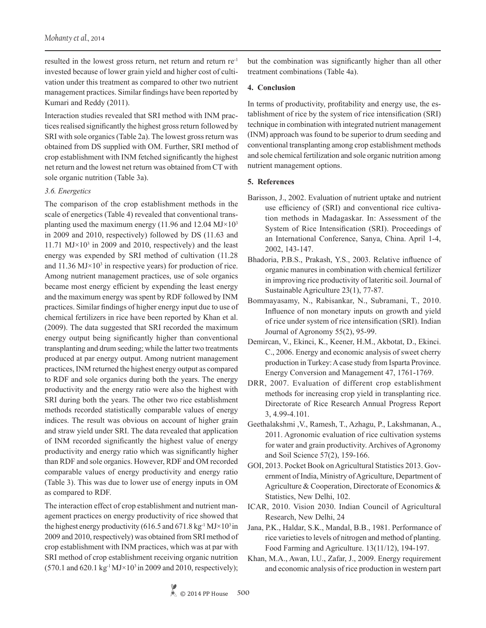resulted in the lowest gross return, net return and return re-1 invested because of lower grain yield and higher cost of cultivation under this treatment as compared to other two nutrient management practices. Similar findings have been reported by Kumari and Reddy (2011).

Interaction studies revealed that SRI method with INM practices realised significantly the highest gross return followed by SRI with sole organics (Table 2a). The lowest gross return was obtained from DS supplied with OM. Further, SRI method of crop establishment with INM fetched significantly the highest net return and the lowest net return was obtained from CT with sole organic nutrition (Table 3a).

#### *3.6. Energetics*

The comparison of the crop establishment methods in the scale of energetics (Table 4) revealed that conventional transplanting used the maximum energy (11.96 and 12.04  $MJ \times 10^3$ ) in 2009 and 2010, respectively) followed by DS (11.63 and 11.71  $MJ \times 10^3$  in 2009 and 2010, respectively) and the least energy was expended by SRI method of cultivation (11.28 and  $11.36 \text{ MJ} \times 10^3$  in respective years) for production of rice. Among nutrient management practices, use of sole organics became most energy efficient by expending the least energy and the maximum energy was spent by RDF followed by INM practices. Similar findings of higher energy input due to use of chemical fertilizers in rice have been reported by Khan et al. (2009). The data suggested that SRI recorded the maximum energy output being significantly higher than conventional transplanting and drum seeding; while the latter two treatments produced at par energy output. Among nutrient management practices, INM returned the highest energy output as compared to RDF and sole organics during both the years. The energy productivity and the energy ratio were also the highest with SRI during both the years. The other two rice establishment methods recorded statistically comparable values of energy indices. The result was obvious on account of higher grain and straw yield under SRI. The data revealed that application of INM recorded significantly the highest value of energy productivity and energy ratio which was significantly higher than RDF and sole organics. However, RDF and OM recorded comparable values of energy productivity and energy ratio (Table 3). This was due to lower use of energy inputs in OM as compared to RDF.

The interaction effect of crop establishment and nutrient management practices on energy productivity of rice showed that the highest energy productivity (616.5 and 671.8 kg<sup>-1</sup> MJ $\times$ 10<sup>3</sup> in 2009 and 2010, respectively) was obtained from SRI method of crop establishment with INM practices, which was at par with SRI method of crop establishment receiving organic nutrition  $(570.1 \text{ and } 620.1 \text{ kg}^{-1} \text{MJ} \times 10^3 \text{ in } 2009 \text{ and } 2010, \text{ respectively});$ 

but the combination was significantly higher than all other treatment combinations (Table 4a).

#### **4. Conclusion**

In terms of productivity, profitability and energy use, the establishment of rice by the system of rice intensification (SRI) technique in combination with integrated nutrient management (INM) approach was found to be superior to drum seeding and conventional transplanting among crop establishment methods and sole chemical fertilization and sole organic nutrition among nutrient management options.

### **5. References**

- Barisson, J., 2002. Evaluation of nutrient uptake and nutrient use efficiency of (SRI) and conventional rice cultivation methods in Madagaskar. In: Assessment of the System of Rice Intensification (SRI). Proceedings of an International Conference, Sanya, China. April 1-4, 2002, 143-147.
- Bhadoria, P.B.S., Prakash, Y.S., 2003. Relative influence of organic manures in combination with chemical fertilizer in improving rice productivity of lateritic soil. Journal of Sustainable Agriculture 23(1), 77-87.
- Bommayasamy, N., Rabisankar, N., Subramani, T., 2010. Influence of non monetary inputs on growth and yield of rice under system of rice intensification (SRI). Indian Journal of Agronomy 55(2), 95-99.
- Demircan, V., Ekinci, K., Keener, H.M., Akbotat, D., Ekinci. C., 2006. Energy and economic analysis of sweet cherry production in Turkey: A case study from Isparta Province. Energy Conversion and Management 47, 1761-1769.
- DRR, 2007. Evaluation of different crop establishment methods for increasing crop yield in transplanting rice. Directorate of Rice Research Annual Progress Report 3, 4.99-4.101.
- Geethalakshmi ,V., Ramesh, T., Azhagu, P., Lakshmanan, A., 2011. Agronomic evaluation of rice cultivation systems for water and grain productivity. Archives of Agronomy and Soil Science 57(2), 159-166.
- GOI, 2013. Pocket Book on Agricultural Statistics 2013. Government of India, Ministry of Agriculture, Department of Agriculture & Cooperation, Directorate of Economics & Statistics, New Delhi, 102.
- ICAR, 2010. Vision 2030. Indian Council of Agricultural Research, New Delhi, 24
- Jana, P.K., Haldar, S.K., Mandal, B.B., 1981. Performance of rice varieties to levels of nitrogen and method of planting. Food Farming and Agriculture. 13(11/12), 194-197.
- Khan, M.A., Awan, I.U., Zafar, J., 2009. Energy requirement and economic analysis of rice production in western part